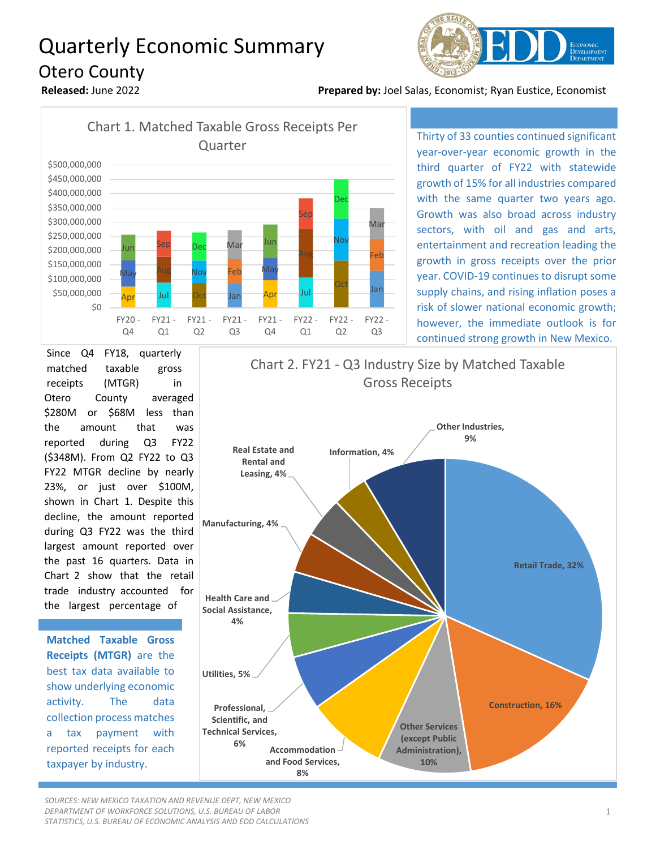## Quarterly Economic Summary Otero County



**Released:** June 2022 **Prepared by:** Joel Salas, Economist; Ryan Eustice, Economist



Thirty of 33 counties continued significant year-over-year economic growth in the third quarter of FY22 with statewide growth of 15% for all industries compared with the same quarter two years ago. Growth was also broad across industry sectors, with oil and gas and arts, entertainment and recreation leading the growth in gross receipts over the prior year. COVID-19 continues to disrupt some supply chains, and rising inflation poses a risk of slower national economic growth; however, the immediate outlook is for continued strong growth in New Mexico.

Since Q4 FY18, quarterly matched taxable gross receipts (MTGR) in Otero County averaged \$280M or \$68M less than the amount that was reported during Q3 FY22 (\$348M). From Q2 FY22 to Q3 FY22 MTGR decline by nearly 23%, or just over \$100M, shown in Chart 1. Despite this decline, the amount reported during Q3 FY22 was the third largest amount reported over the past 16 quarters. Data in Chart 2 show that the retail trade industry accounted for the largest percentage of

**Matched Taxable Gross Receipts (MTGR)** are the best tax data available to show underlying economic activity. The data collection process matches a tax payment with reported receipts for each taxpayer by industry.



*SOURCES: NEW MEXICO TAXATION AND REVENUE DEPT, NEW MEXICO DEPARTMENT OF WORKFORCE SOLUTIONS, U.S. BUREAU OF LABOR STATISTICS, U.S. BUREAU OF ECONOMIC ANALYSIS AND EDD CALCULATIONS*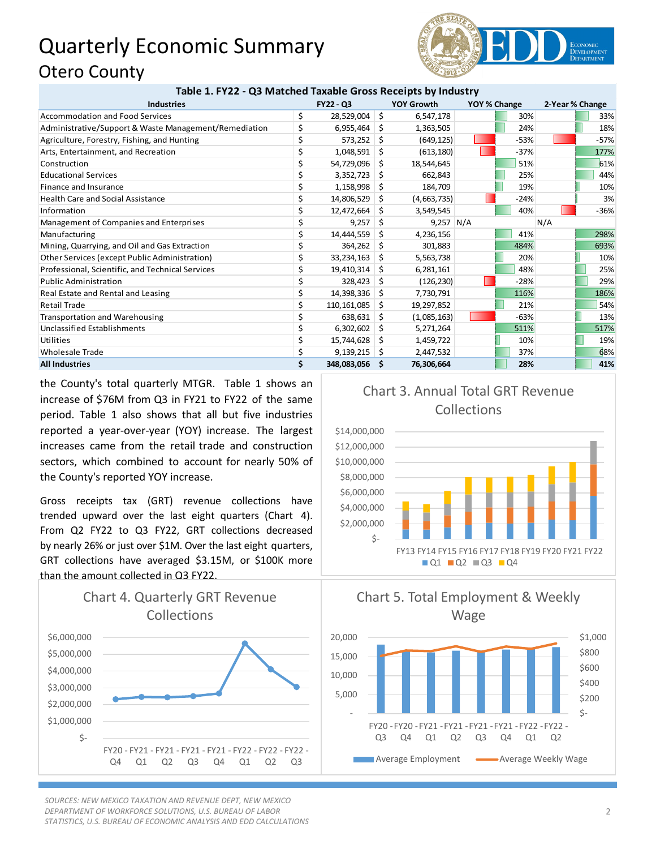## Quarterly Economic Summary Otero County



|  |  | Table 1. FY22 - Q3 Matched Taxable Gross Receipts by Industry |
|--|--|---------------------------------------------------------------|
|--|--|---------------------------------------------------------------|

| <b>Industries</b>                                     |    | FY22 - Q3      |     | <b>YOY Growth</b> | YOY % Change |        | 2-Year % Change |        |
|-------------------------------------------------------|----|----------------|-----|-------------------|--------------|--------|-----------------|--------|
| <b>Accommodation and Food Services</b>                | \$ | 28,529,004     | -\$ | 6,547,178         |              | 30%    |                 | 33%    |
| Administrative/Support & Waste Management/Remediation |    | 6,955,464      | - Ś | 1,363,505         |              | 24%    |                 | 18%    |
| Agriculture, Forestry, Fishing, and Hunting           |    | 573,252        | Ŝ.  | (649, 125)        |              | $-53%$ |                 | $-57%$ |
| Arts, Entertainment, and Recreation                   |    | 1,048,591      | \$. | (613, 180)        |              | $-37%$ |                 | 177%   |
| Construction                                          | \$ | 54,729,096     | -\$ | 18,544,645        |              | 51%    |                 | 61%    |
| <b>Educational Services</b>                           | \$ | 3,352,723      | S   | 662,843           |              | 25%    |                 | 44%    |
| Finance and Insurance                                 | \$ | 1,158,998      | S.  | 184,709           |              | 19%    |                 | 10%    |
| <b>Health Care and Social Assistance</b>              | \$ | 14,806,529     | S.  | (4,663,735)       |              | $-24%$ |                 | 3%     |
| Information                                           | \$ | 12,472,664     | - S | 3,549,545         |              | 40%    |                 | $-36%$ |
| Management of Companies and Enterprises               | \$ | 9,257          | S   | $9,257$ N/A       |              |        | N/A             |        |
| Manufacturing                                         | \$ | 14,444,559     | \$. | 4,236,156         |              | 41%    |                 | 298%   |
| Mining, Quarrying, and Oil and Gas Extraction         | \$ | 364,262        | Ŝ.  | 301,883           |              | 484%   |                 | 693%   |
| Other Services (except Public Administration)         | \$ | 33,234,163     | -S  | 5,563,738         |              | 20%    |                 | 10%    |
| Professional, Scientific, and Technical Services      | \$ | 19,410,314     | -S  | 6,281,161         |              | 48%    |                 | 25%    |
| <b>Public Administration</b>                          | \$ | 328,423        | S   | (126, 230)        |              | $-28%$ |                 | 29%    |
| Real Estate and Rental and Leasing                    | \$ | 14,398,336     | S   | 7,730,791         |              | 116%   |                 | 186%   |
| <b>Retail Trade</b>                                   | \$ | 110,161,085    | S   | 19,297,852        |              | 21%    |                 | 54%    |
| <b>Transportation and Warehousing</b>                 | \$ | 638,631        | S   | (1,085,163)       |              | $-63%$ |                 | 13%    |
| <b>Unclassified Establishments</b>                    | \$ | 6,302,602      | S.  | 5,271,264         |              | 511%   |                 | 517%   |
| Utilities                                             | \$ | 15,744,628     | S   | 1,459,722         |              | 10%    |                 | 19%    |
| <b>Wholesale Trade</b>                                | \$ | 9,139,215      | -S  | 2,447,532         |              | 37%    |                 | 68%    |
| <b>All Industries</b>                                 | \$ | 348,083,056 \$ |     | 76,306,664        |              | 28%    |                 | 41%    |

the County's total quarterly MTGR. Table 1 shows an increase of \$76M from Q3 in FY21 to FY22 of the same period. Table 1 also shows that all but five industries reported a year-over-year (YOY) increase. The largest increases came from the retail trade and construction sectors, which combined to account for nearly 50% of the County's reported YOY increase.

Gross receipts tax (GRT) revenue collections have trended upward over the last eight quarters (Chart 4). From Q2 FY22 to Q3 FY22, GRT collections decreased by nearly 26% or just over \$1M. Over the last eight quarters, GRT collections have averaged \$3.15M, or \$100K more than the amount collected in Q3 FY22.



*SOURCES: NEW MEXICO TAXATION AND REVENUE DEPT, NEW MEXICO DEPARTMENT OF WORKFORCE SOLUTIONS, U.S. BUREAU OF LABOR STATISTICS, U.S. BUREAU OF ECONOMIC ANALYSIS AND EDD CALCULATIONS*